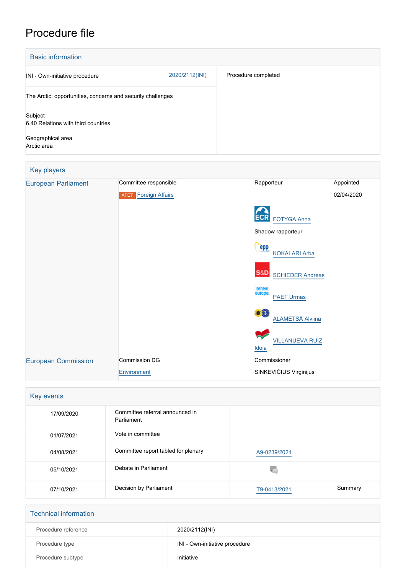# Procedure file

| <b>Basic information</b>                                    |                |                     |
|-------------------------------------------------------------|----------------|---------------------|
| INI - Own-initiative procedure                              | 2020/2112(INI) | Procedure completed |
| The Arctic: opportunities, concerns and security challenges |                |                     |
| Subject<br>6.40 Relations with third countries              |                |                     |
| Geographical area<br>Arctic area                            |                |                     |

| Key players                |                             |                                           |            |
|----------------------------|-----------------------------|-------------------------------------------|------------|
| <b>European Parliament</b> | Committee responsible       | Rapporteur                                | Appointed  |
|                            | <b>AFET Foreign Affairs</b> |                                           | 02/04/2020 |
|                            |                             | <b>ECR</b><br><b>FOTYGA Anna</b>          |            |
|                            |                             | Shadow rapporteur                         |            |
|                            |                             | epp<br><b>KOKALARI Arba</b>               |            |
|                            |                             | <b>S&amp;D</b><br><b>SCHIEDER Andreas</b> |            |
|                            |                             | renew<br>europe.<br><b>PAET Urmas</b>     |            |
|                            |                             | $\bullet$<br><b>ALAMETSÄ Alviina</b>      |            |
|                            |                             | <b>VILLANUEVA RUIZ</b><br><b>Idoia</b>    |            |
| <b>European Commission</b> | Commission DG               | Commissioner                              |            |
|                            | Environment                 | SINKEVIČIUS Virginijus                    |            |

| Key events |                                               |              |         |
|------------|-----------------------------------------------|--------------|---------|
| 17/09/2020 | Committee referral announced in<br>Parliament |              |         |
| 01/07/2021 | Vote in committee                             |              |         |
| 04/08/2021 | Committee report tabled for plenary           | A9-0239/2021 |         |
| 05/10/2021 | Debate in Parliament                          | ٧C           |         |
| 07/10/2021 | Decision by Parliament                        | T9-0413/2021 | Summary |

| <b>Technical information</b> |                                |
|------------------------------|--------------------------------|
| Procedure reference          | 2020/2112(INI)                 |
| Procedure type               | INI - Own-initiative procedure |
| Procedure subtype            | Initiative                     |
|                              |                                |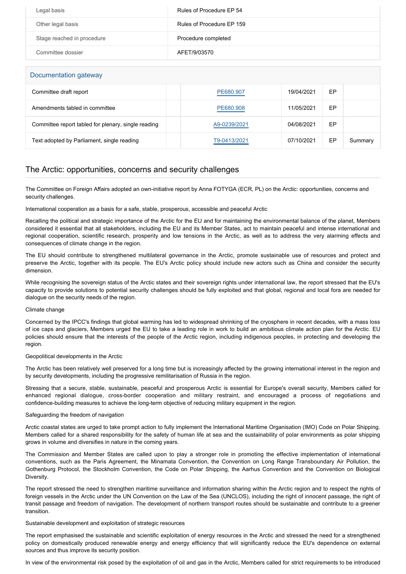| Legal basis                | Rules of Procedure EP 54  |
|----------------------------|---------------------------|
| Other legal basis          | Rules of Procedure EP 159 |
| Stage reached in procedure | Procedure completed       |
| Committee dossier          | AFET/9/03570              |

| Documentation gateway                               |              |            |    |         |
|-----------------------------------------------------|--------------|------------|----|---------|
| Committee draft report                              | PE680.907    | 19/04/2021 | EP |         |
| Amendments tabled in committee                      | PE680.908    | 11/05/2021 | EP |         |
| Committee report tabled for plenary, single reading | A9-0239/2021 | 04/08/2021 | EP |         |
| Text adopted by Parliament, single reading          | T9-0413/2021 | 07/10/2021 | EP | Summary |

## The Arctic: opportunities, concerns and security challenges

The Committee on Foreign Affairs adopted an own-initiative report by Anna FOTYGA (ECR, PL) on the Arctic: opportunities, concerns and security challenges.

International cooperation as a basis for a safe, stable, prosperous, accessible and peaceful Arctic

Recalling the political and strategic importance of the Arctic for the EU and for maintaining the environmental balance of the planet, Members considered it essential that all stakeholders, including the EU and its Member States, act to maintain peaceful and intense international and regional cooperation, scientific research, prosperity and low tensions in the Arctic, as well as to address the very alarming effects and consequences of climate change in the region.

The EU should contribute to strengthened multilateral governance in the Arctic, promote sustainable use of resources and protect and preserve the Arctic, together with its people. The EU's Arctic policy should include new actors such as China and consider the security dimension.

While recognising the sovereign status of the Arctic states and their sovereign rights under international law, the report stressed that the EU's capacity to provide solutions to potential security challenges should be fully exploited and that global, regional and local fora are needed for dialogue on the security needs of the region.

## Climate change

Concerned by the IPCC's findings that global warming has led to widespread shrinking of the cryosphere in recent decades, with a mass loss of ice caps and glaciers, Members urged the EU to take a leading role in work to build an ambitious climate action plan for the Arctic. EU policies should ensure that the interests of the people of the Arctic region, including indigenous peoples, in protecting and developing the region.

## Geopolitical developments in the Arctic

The Arctic has been relatively well preserved for a long time but is increasingly affected by the growing international interest in the region and by security developments, including the progressive remilitarisation of Russia in the region.

Stressing that a secure, stable, sustainable, peaceful and prosperous Arctic is essential for Europe's overall security, Members called for enhanced regional dialogue, cross-border cooperation and military restraint, and encouraged a process of negotiations and confidence-building measures to achieve the long-term objective of reducing military equipment in the region.

## Safeguarding the freedom of navigation

Arctic coastal states are urged to take prompt action to fully implement the International Maritime Organisation (IMO) Code on Polar Shipping. Members called for a shared responsibility for the safety of human life at sea and the sustainability of polar environments as polar shipping grows in volume and diversifies in nature in the coming years.

The Commission and Member States are called upon to play a stronger role in promoting the effective implementation of international conventions, such as the Paris Agreement, the Minamata Convention, the Convention on Long Range Transboundary Air Pollution, the Gothenburg Protocol, the Stockholm Convention, the Code on Polar Shipping, the Aarhus Convention and the Convention on Biological Diversity.

The report stressed the need to strengthen maritime surveillance and information sharing within the Arctic region and to respect the rights of foreign vessels in the Arctic under the UN Convention on the Law of the Sea (UNCLOS), including the right of innocent passage, the right of transit passage and freedom of navigation. The development of northern transport routes should be sustainable and contribute to a greener transition.

## Sustainable development and exploitation of strategic resources

The report emphasised the sustainable and scientific exploitation of energy resources in the Arctic and stressed the need for a strengthened policy on domestically produced renewable energy and energy efficiency that will significantly reduce the EU's dependence on external sources and thus improve its security position.

In view of the environmental risk posed by the exploitation of oil and gas in the Arctic, Members called for strict requirements to be introduced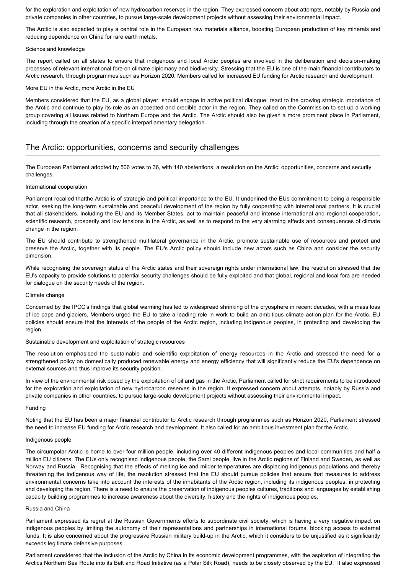for the exploration and exploitation of new hydrocarbon reserves in the region. They expressed concern about attempts, notably by Russia and private companies in other countries, to pursue large-scale development projects without assessing their environmental impact.

The Arctic is also expected to play a central role in the European raw materials alliance, boosting European production of key minerals and reducing dependence on China for rare earth metals.

### Science and knowledge

The report called on all states to ensure that indigenous and local Arctic peoples are involved in the deliberation and decision-making processes of relevant international fora on climate diplomacy and biodiversity. Stressing that the EU is one of the main financial contributors to Arctic research, through programmes such as Horizon 2020, Members called for increased EU funding for Arctic research and development.

## More EU in the Arctic, more Arctic in the EU

Members considered that the EU, as a global player, should engage in active political dialogue, react to the growing strategic importance of the Arctic and continue to play its role as an accepted and credible actor in the region. They called on the Commission to set up a working group covering all issues related to Northern Europe and the Arctic. The Arctic should also be given a more prominent place in Parliament, including through the creation of a specific interparliamentary delegation.

## The Arctic: opportunities, concerns and security challenges

The European Parliament adopted by 506 votes to 36, with 140 abstentions, a resolution on the Arctic: opportunities, concerns and security challenges.

#### International cooperation

Parliament recalled thatthe Arctic is of strategic and political importance to the EU. It underlined the EUs commitment to being a responsible actor, seeking the long-term sustainable and peaceful development of the region by fully cooperating with international partners. It is crucial that all stakeholders, including the EU and its Member States, act to maintain peaceful and intense international and regional cooperation, scientific research, prosperity and low tensions in the Arctic, as well as to respond to the very alarming effects and consequences of climate change in the region.

The EU should contribute to strengthened multilateral governance in the Arctic, promote sustainable use of resources and protect and preserve the Arctic, together with its people. The EU's Arctic policy should include new actors such as China and consider the security dimension.

While recognising the sovereign status of the Arctic states and their sovereign rights under international law, the resolution stressed that the EU's capacity to provide solutions to potential security challenges should be fully exploited and that global, regional and local fora are needed for dialogue on the security needs of the region.

## Climate change

Concerned by the IPCC's findings that global warming has led to widespread shrinking of the cryosphere in recent decades, with a mass loss of ice caps and glaciers, Members urged the EU to take a leading role in work to build an ambitious climate action plan for the Arctic. EU policies should ensure that the interests of the people of the Arctic region, including indigenous peoples, in protecting and developing the region.

## Sustainable development and exploitation of strategic resources

The resolution emphasised the sustainable and scientific exploitation of energy resources in the Arctic and stressed the need for a strengthened policy on domestically produced renewable energy and energy efficiency that will significantly reduce the EU's dependence on external sources and thus improve its security position.

In view of the environmental risk posed by the exploitation of oil and gas in the Arctic, Parliament called for strict requirements to be introduced for the exploration and exploitation of new hydrocarbon reserves in the region. It expressed concern about attempts, notably by Russia and private companies in other countries, to pursue large-scale development projects without assessing their environmental impact.

## Funding

Noting that the EU has been a major financial contributor to Arctic research through programmes such as Horizon 2020, Parliament stressed the need to increase EU funding for Arctic research and development. It also called for an ambitious investment plan for the Arctic.

#### Indigenous people

The circumpolar Arctic is home to over four million people, including over 40 different indigenous peoples and local communities and half a million EU citizens. The EUs only recognised indigenous people, the Sami people, live in the Arctic regions of Finland and Sweden, as well as Norway and Russia. Recognising that the effects of melting ice and milder temperatures are displacing indigenous populations and thereby threatening the indigenous way of life, the resolution stressed that the EU should pursue policies that ensure that measures to address environmental concerns take into account the interests of the inhabitants of the Arctic region, including its indigenous peoples, in protecting and developing the region. There is a need to ensure the preservation of indigenous peoples cultures, traditions and languages by establishing capacity building programmes to increase awareness about the diversity, history and the rights of indigenous peoples.

#### Russia and China

Parliament expressed its regret at the Russian Governments efforts to subordinate civil society, which is having a very negative impact on indigenous peoples by limiting the autonomy of their representations and partnerships in international forums, blocking access to external funds. It is also concerned about the progressive Russian military build-up in the Arctic, which it considers to be unjustified as it significantly exceeds legitimate defensive purposes.

Parliament considered that the inclusion of the Arctic by China in its economic development programmes, with the aspiration of integrating the Arctics Northern Sea Route into its Belt and Road Initiative (as a Polar Silk Road), needs to be closely observed by the EU. It also expressed